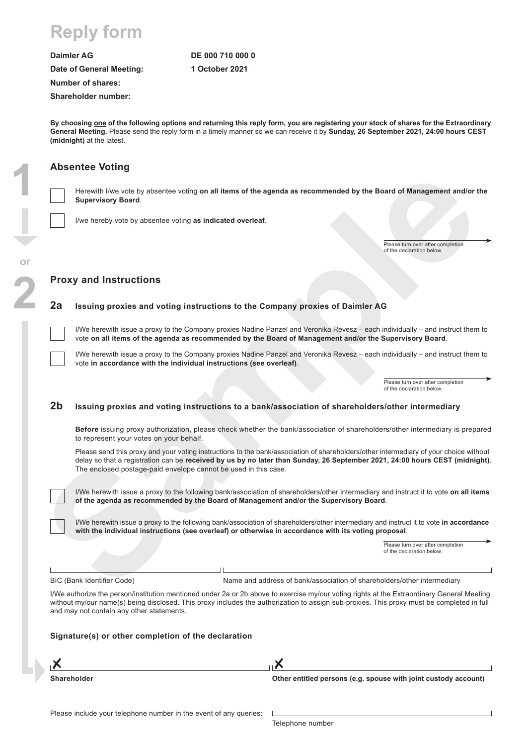# **Reply form**

**Daimler AG** 

**Date of General Meeting: Number of shares:** 

**Shareholder number:** 

**DE 000 710 000 0 1 October 2021**

**By choosing one of the following options and returning this reply form, you are registering your stock of shares for the Extraordinary General Meeting.** Please send the reply form in a timely manner so we can receive it by **Sunday, 26 September 2021, 24:00 hours CEST (midnight)** at the latest.

## **Absentee Voting**



**2**

**or**

Herewith I/we vote by absentee voting **on all items of the agenda as recommended by the Board of Management and/or the Supervisory Board**.

I/we hereby vote by absentee voting **as indicated overleaf**.

Please turn over after completion of the declaration below.

## **Proxy and Instructions**

## **2a Issuing proxies and voting instructions to the Company proxies of Daimler AG**

I/We herewith issue a proxy to the Company proxies Nadine Panzel and Veronika Revesz – each individually – and instruct them to vote **on all items of the agenda as recommended by the Board of Management and/or the Supervisory Board**.

I/We herewith issue a proxy to the Company proxies Nadine Panzel and Veronika Revesz – each individually – and instruct them to vote **in accordance with the individual instructions (see overleaf)**.

> Please turn over after completion of the declaration below.

### **2b Issuing proxies and voting instructions to a bank/association of shareholders/other intermediary**

**Before** issuing proxy authorization, please check whether the bank/association of shareholders/other intermediary is prepared to represent your votes on your behalf.

**Subsettive voltage and the sample of the spenda as recommended by the Board of Management and/or the spendal subsetted workers with a subsetted overload interest and the spendal subsetted workers of the Company provide** Please send this proxy and your voting instructions to the bank/association of shareholders/other intermediary of your choice without delay so that a registration can be **received by us by no later than Sunday, 26 September 2021, 24:00 hours CEST (midnight)**. The enclosed postage-paid envelope cannot be used in this case.



I/We herewith issue a proxy to the following bank/association of shareholders/other intermediary and instruct it to vote **on all items of the agenda as recommended by the Board of Management and/or the Supervisory Board**.

I/We herewith issue a proxy to the following bank/association of shareholders/other intermediary and instruct it to vote **in accordance with the individual instructions (see overleaf) or otherwise in accordance with its voting proposal**.

> Please turn over after completion of the declaration below.

BIC (Bank Identifier Code) Name and address of bank/association of shareholders/other intermediary

I/We authorize the person/institution mentioned under 2a or 2b above to exercise my/our voting rights at the Extraordinary General Meeting without my/our name(s) being disclosed. This proxy includes the authorization to assign sub-proxies. This proxy must be completed in full and may not contain any other statements.

Х

#### **Signature(s) or other completion of the declaration**

**Shareholder Other entitled persons (e.g. spouse with joint custody account)**